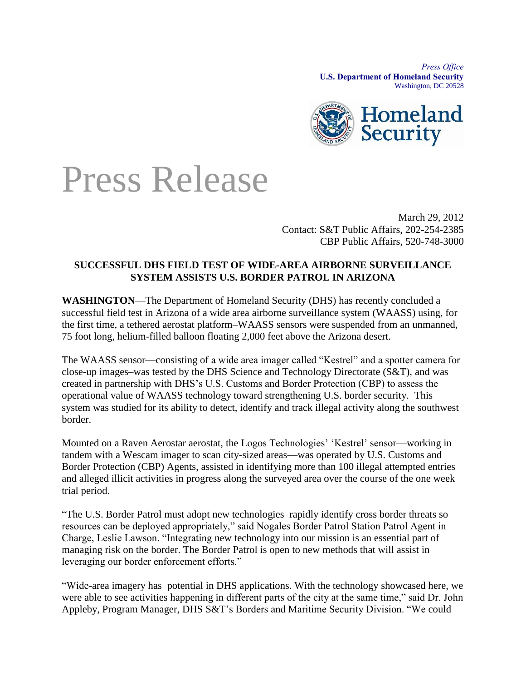*Press Office* **U.S. Department of Homeland Security** Washington, DC 20528



## Press Release

March 29, 2012 Contact: S&T Public Affairs, 202-254-2385 CBP Public Affairs, 520-748-3000

## **SUCCESSFUL DHS FIELD TEST OF WIDE-AREA AIRBORNE SURVEILLANCE SYSTEM ASSISTS U.S. BORDER PATROL IN ARIZONA**

**WASHINGTON**—The Department of Homeland Security (DHS) has recently concluded a successful field test in Arizona of a wide area airborne surveillance system (WAASS) using, for the first time, a tethered aerostat platform–WAASS sensors were suspended from an unmanned, 75 foot long, helium-filled balloon floating 2,000 feet above the Arizona desert.

The WAASS sensor—consisting of a wide area imager called "Kestrel" and a spotter camera for close-up images–was tested by the DHS Science and Technology Directorate (S&T), and was created in partnership with DHS's U.S. Customs and Border Protection (CBP) to assess the operational value of WAASS technology toward strengthening U.S. border security. This system was studied for its ability to detect, identify and track illegal activity along the southwest border.

Mounted on a Raven Aerostar aerostat, the Logos Technologies' 'Kestrel' sensor—working in tandem with a Wescam imager to scan city-sized areas—was operated by U.S. Customs and Border Protection (CBP) Agents, assisted in identifying more than 100 illegal attempted entries and alleged illicit activities in progress along the surveyed area over the course of the one week trial period.

"The U.S. Border Patrol must adopt new technologies rapidly identify cross border threats so resources can be deployed appropriately," said Nogales Border Patrol Station Patrol Agent in Charge, Leslie Lawson. "Integrating new technology into our mission is an essential part of managing risk on the border. The Border Patrol is open to new methods that will assist in leveraging our border enforcement efforts."

"Wide-area imagery has potential in DHS applications. With the technology showcased here, we were able to see activities happening in different parts of the city at the same time," said Dr. John Appleby, Program Manager, DHS S&T's Borders and Maritime Security Division. "We could